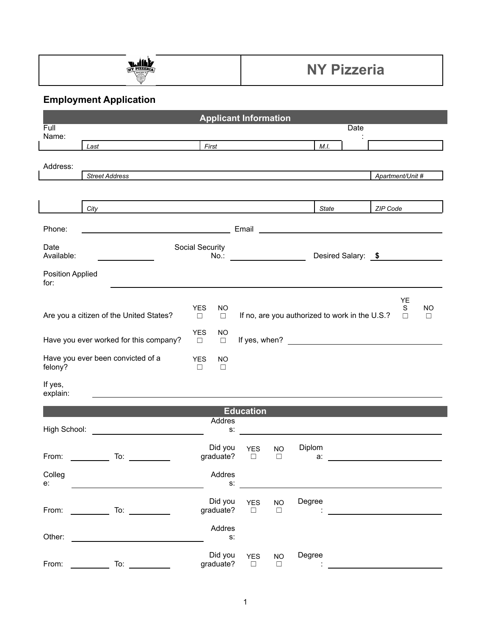

## **NY Pizzeria**

## **Employment Application**

|                                              |                                                                                                                                                                                                                                |                                                                                                                                                                                                                               | <b>Applicant Information</b> |                                               |                                                |             |                                                                                                                                                                                                                                      |                     |
|----------------------------------------------|--------------------------------------------------------------------------------------------------------------------------------------------------------------------------------------------------------------------------------|-------------------------------------------------------------------------------------------------------------------------------------------------------------------------------------------------------------------------------|------------------------------|-----------------------------------------------|------------------------------------------------|-------------|--------------------------------------------------------------------------------------------------------------------------------------------------------------------------------------------------------------------------------------|---------------------|
| Full<br>Name:                                |                                                                                                                                                                                                                                |                                                                                                                                                                                                                               |                              |                                               |                                                | <b>Date</b> |                                                                                                                                                                                                                                      |                     |
|                                              | Last                                                                                                                                                                                                                           |                                                                                                                                                                                                                               | First <u>Communication</u>   |                                               | M.I.                                           |             |                                                                                                                                                                                                                                      |                     |
|                                              |                                                                                                                                                                                                                                |                                                                                                                                                                                                                               |                              |                                               |                                                |             |                                                                                                                                                                                                                                      |                     |
| Address:                                     | <b>Street Address</b>                                                                                                                                                                                                          | the control of the control of the control of the control of the control of the control of the control of the control of the control of the control of the control of the control of the control of the control of the control |                              |                                               |                                                |             | Apartment/Unit #                                                                                                                                                                                                                     |                     |
|                                              |                                                                                                                                                                                                                                |                                                                                                                                                                                                                               |                              |                                               |                                                |             |                                                                                                                                                                                                                                      |                     |
|                                              |                                                                                                                                                                                                                                |                                                                                                                                                                                                                               |                              |                                               |                                                |             |                                                                                                                                                                                                                                      |                     |
|                                              | City                                                                                                                                                                                                                           |                                                                                                                                                                                                                               |                              |                                               | State                                          |             | ZIP Code                                                                                                                                                                                                                             |                     |
| Phone:                                       | <u> 1980 - Johann Barbara, martin amerikan basar da</u>                                                                                                                                                                        |                                                                                                                                                                                                                               |                              |                                               |                                                |             | Email <b>Exercise Contract Contract Contract Contract Contract Contract Contract Contract Contract Contract Contract Contract Contract Contract Contract Contract Contract Contract Contract Contract Contract Contract Contract</b> |                     |
| Date<br>Available:                           | Social Security                                                                                                                                                                                                                |                                                                                                                                                                                                                               |                              | No.: __________________<br>Desired Salary: \$ |                                                |             |                                                                                                                                                                                                                                      |                     |
|                                              | and the company of the company                                                                                                                                                                                                 |                                                                                                                                                                                                                               |                              |                                               |                                                |             |                                                                                                                                                                                                                                      |                     |
| <b>Position Applied</b><br>for:              |                                                                                                                                                                                                                                |                                                                                                                                                                                                                               |                              |                                               |                                                |             |                                                                                                                                                                                                                                      |                     |
|                                              |                                                                                                                                                                                                                                | <b>YES</b><br><b>NO</b>                                                                                                                                                                                                       |                              |                                               |                                                |             | YE                                                                                                                                                                                                                                   |                     |
|                                              | Are you a citizen of the United States?                                                                                                                                                                                        |                                                                                                                                                                                                                               |                              |                                               | If no, are you authorized to work in the U.S.? |             | S<br>$\Box$                                                                                                                                                                                                                          | <b>NO</b><br>$\Box$ |
| Have you ever worked for this company?       |                                                                                                                                                                                                                                | <b>YES</b><br><b>NO</b><br>$\Box$<br>$\Box$                                                                                                                                                                                   |                              |                                               |                                                |             |                                                                                                                                                                                                                                      |                     |
| Have you ever been convicted of a<br>felony? |                                                                                                                                                                                                                                | <b>YES</b><br><b>NO</b><br>$\Box$<br>$\Box$                                                                                                                                                                                   |                              |                                               |                                                |             |                                                                                                                                                                                                                                      |                     |
| If yes,<br>explain:                          |                                                                                                                                                                                                                                |                                                                                                                                                                                                                               |                              |                                               |                                                |             |                                                                                                                                                                                                                                      |                     |
|                                              |                                                                                                                                                                                                                                |                                                                                                                                                                                                                               | <b>Education</b>             |                                               |                                                |             |                                                                                                                                                                                                                                      |                     |
|                                              |                                                                                                                                                                                                                                | Addres                                                                                                                                                                                                                        |                              |                                               |                                                |             |                                                                                                                                                                                                                                      |                     |
| High School:                                 | <u> 1980 - Jan Stein, amerikansk politiker (</u>                                                                                                                                                                               |                                                                                                                                                                                                                               | $S$ .                        |                                               |                                                |             |                                                                                                                                                                                                                                      |                     |
| From:                                        | To:<br>$\mathcal{L}^{\text{max}}_{\text{max}}$ , where $\mathcal{L}^{\text{max}}_{\text{max}}$<br>$\mathcal{L}^{\text{max}}$ , where $\mathcal{L}^{\text{max}}$                                                                | Did you<br>graduate?                                                                                                                                                                                                          | <b>YES</b><br>$\Box$         | <b>NO</b><br>$\Box$                           | Diplom<br>a:                                   |             |                                                                                                                                                                                                                                      |                     |
| Colleg                                       |                                                                                                                                                                                                                                | Addres                                                                                                                                                                                                                        |                              |                                               |                                                |             |                                                                                                                                                                                                                                      |                     |
| e:                                           |                                                                                                                                                                                                                                |                                                                                                                                                                                                                               | $\mathsf{S}$ :               |                                               |                                                |             |                                                                                                                                                                                                                                      |                     |
| From:                                        | To: $\qquad \qquad$<br>$\frac{1}{2} \left( \frac{1}{2} \right)^2 \left( \frac{1}{2} \right)^2 \left( \frac{1}{2} \right)^2$                                                                                                    | Did you<br>graduate?                                                                                                                                                                                                          | <b>YES</b><br>$\Box$         | <b>NO</b><br>$\Box$                           | Degree                                         |             |                                                                                                                                                                                                                                      |                     |
| Other:                                       | <u> 1989 - Johann Stoff, fransk politik (d. 1989)</u>                                                                                                                                                                          | Addres<br>$\mathsf{S}.$                                                                                                                                                                                                       |                              |                                               |                                                |             |                                                                                                                                                                                                                                      |                     |
| From:                                        | To: the contract of the contract of the contract of the contract of the contract of the contract of the contract of the contract of the contract of the contract of the contract of the contract of the contract of the contra | Did you<br>graduate?                                                                                                                                                                                                          | <b>YES</b><br>$\Box$         | <b>NO</b><br>$\Box$                           | Degree                                         |             |                                                                                                                                                                                                                                      |                     |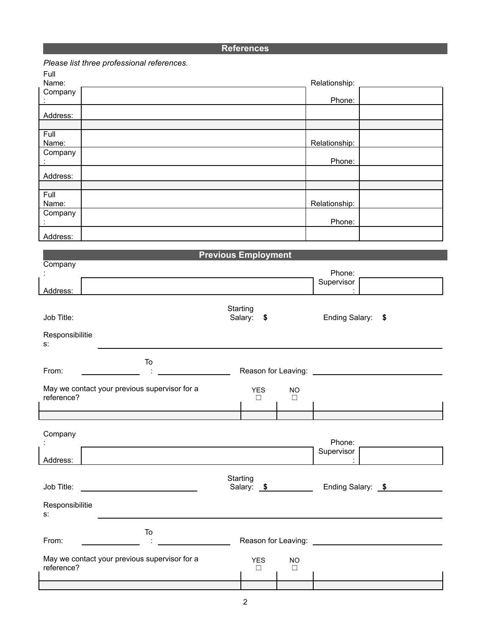## **References**

|                                                                                                            | Please list three professional references.                                                                            |                            |                     |                                                |    |  |
|------------------------------------------------------------------------------------------------------------|-----------------------------------------------------------------------------------------------------------------------|----------------------------|---------------------|------------------------------------------------|----|--|
| Full<br>Name:                                                                                              |                                                                                                                       |                            |                     | Relationship:                                  |    |  |
| Company                                                                                                    |                                                                                                                       |                            |                     |                                                |    |  |
|                                                                                                            |                                                                                                                       |                            |                     | Phone:                                         |    |  |
| Address:                                                                                                   |                                                                                                                       |                            |                     |                                                |    |  |
| Full                                                                                                       |                                                                                                                       |                            |                     |                                                |    |  |
| Name:                                                                                                      |                                                                                                                       |                            |                     | Relationship:                                  |    |  |
| Company                                                                                                    |                                                                                                                       |                            |                     | Phone:                                         |    |  |
| Address:                                                                                                   |                                                                                                                       |                            |                     |                                                |    |  |
| Full                                                                                                       |                                                                                                                       |                            |                     |                                                |    |  |
| Name:<br>Company                                                                                           |                                                                                                                       |                            |                     | Relationship:                                  |    |  |
|                                                                                                            |                                                                                                                       |                            |                     | Phone:                                         |    |  |
| Address:                                                                                                   |                                                                                                                       |                            |                     |                                                |    |  |
|                                                                                                            |                                                                                                                       | <b>Previous Employment</b> |                     |                                                |    |  |
| Company                                                                                                    |                                                                                                                       |                            |                     |                                                |    |  |
|                                                                                                            |                                                                                                                       |                            |                     | Phone:<br>Supervisor                           |    |  |
| Address:                                                                                                   |                                                                                                                       |                            |                     |                                                |    |  |
|                                                                                                            |                                                                                                                       | Starting                   |                     |                                                |    |  |
| Job Title:                                                                                                 |                                                                                                                       | Salary:<br>\$              |                     | Ending Salary:                                 | \$ |  |
| Responsibilitie<br>s:                                                                                      |                                                                                                                       |                            |                     |                                                |    |  |
|                                                                                                            | To                                                                                                                    |                            |                     |                                                |    |  |
| From:                                                                                                      |                                                                                                                       | Reason for Leaving:        |                     |                                                |    |  |
| reference?                                                                                                 | May we contact your previous supervisor for a                                                                         | <b>YES</b><br>$\Box$       | <b>NO</b><br>$\Box$ |                                                |    |  |
|                                                                                                            |                                                                                                                       |                            |                     |                                                |    |  |
| Company                                                                                                    |                                                                                                                       |                            |                     |                                                |    |  |
|                                                                                                            |                                                                                                                       |                            |                     | Phone:                                         |    |  |
| Address:                                                                                                   |                                                                                                                       |                            |                     | Supervisor                                     |    |  |
|                                                                                                            |                                                                                                                       | Starting                   |                     |                                                |    |  |
| Job Title:                                                                                                 | <u> 1989 - Andrea Aonaichte ann an t-Aonaichte ann an t-Aonaichte ann an t-Aonaichte ann an t-Aonaichte ann an t-</u> | Salary: \$                 |                     | Ending Salary: \$                              |    |  |
| Responsibilitie<br>s:                                                                                      |                                                                                                                       |                            |                     |                                                |    |  |
| From:                                                                                                      | To                                                                                                                    | Reason for Leaving: _      |                     | <u> 1980 - Jan Barbara Barbara, manazarta </u> |    |  |
| May we contact your previous supervisor for a<br><b>YES</b><br><b>NO</b><br>reference?<br>$\Box$<br>$\Box$ |                                                                                                                       |                            |                     |                                                |    |  |
|                                                                                                            |                                                                                                                       |                            |                     |                                                |    |  |
|                                                                                                            |                                                                                                                       |                            |                     |                                                |    |  |
|                                                                                                            |                                                                                                                       |                            |                     |                                                |    |  |